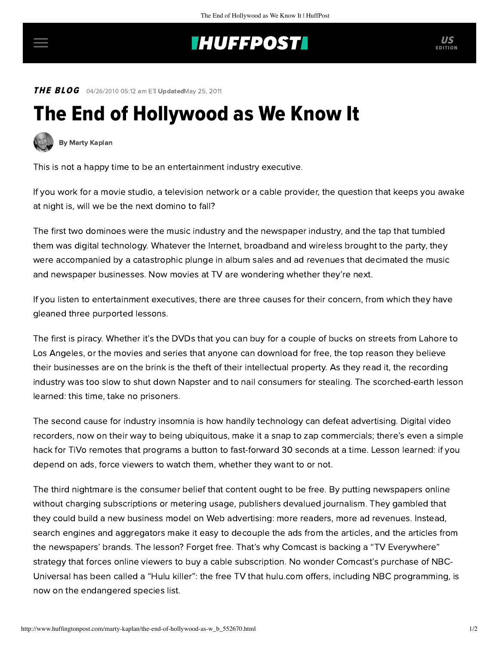## **INUFFPOSTI** US

**THE BLOG** 04/26/2010 05:12 am ETI UpdatedMay 25, 2011

## The End of Hollywood as We Know It



[By Marty Kaplan](http://www.huffingtonpost.com/author/marty-kaplan)

This is not a happy time to be an entertainment industry executive.

If you work for a movie studio, a television network or a cable provider, the question that keeps you awake at night is, will we be the next domino to fall?

The first two dominoes were the music industry and the newspaper industry, and the tap that tumbled them was digital technology. Whatever the Internet, broadband and wireless brought to the party, they were accompanied by a catastrophic plunge in album sales and ad revenues that decimated the music and newspaper businesses. Now movies at TV are wondering whether they're next.

If you listen to entertainment executives, there are three causes for their concern, from which they have gleaned three purported lessons.

The first is piracy. Whether it's the DVDs that you can buy for a couple of bucks on streets from Lahore to Los Angeles, or the movies and series that anyone can download for free, the top reason they believe their businesses are on the brink is the theft of their intellectual property. As they read it, the recording industry was too slow to shut down Napster and to nail consumers for stealing. The scorched-earth lesson learned: this time, take no prisoners.

The second cause for industry insomnia is how handily technology can defeat advertising. Digital video recorders, now on their way to being ubiquitous, make it a snap to zap commercials; there's even a simple hack for TiVo remotes that programs a button to fast-forward 30 seconds at a time. Lesson learned: if you depend on ads, force viewers to watch them, whether they want to or not.

The third nightmare is the consumer belief that content ought to be free. By putting newspapers online without charging subscriptions or metering usage, publishers devalued journalism. They gambled that they could build a new business model on Web advertising: more readers, more ad revenues. Instead, search engines and aggregators make it easy to decouple the ads from the articles, and the articles from the newspapers' brands. The lesson? Forget free. That's why Comcast is backing a "TV Everywhere" strategy that forces online viewers to buy a cable subscription. No wonder Comcast's purchase of NBC-Universal has been called a "Hulu killer": the free TV that hulu.com offers, including NBC programming, is now on the endangered species list.